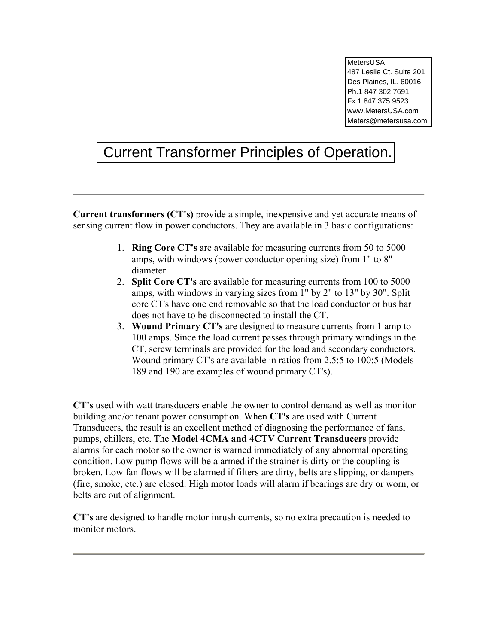MetersUSA 487 Leslie Ct. Suite 201 Des Plaines, IL. 60016 Ph.1 847 302 7691 Fx.1 847 375 9523. www.MetersUSA.com Meters@metersusa.com

# Current Transformer Principles of Operation.

**Current transformers (CT's)** provide a simple, inexpensive and yet accurate means of sensing current flow in power conductors. They are available in 3 basic configurations:

- 1. **Ring Core CT's** are available for measuring currents from 50 to 5000 amps, with windows (power conductor opening size) from 1" to 8" diameter.
- 2. **Split Core CT's** are available for measuring currents from 100 to 5000 amps, with windows in varying sizes from 1" by 2" to 13" by 30". Split core CT's have one end removable so that the load conductor or bus bar does not have to be disconnected to install the CT.
- 3. **Wound Primary CT's** are designed to measure currents from 1 amp to 100 amps. Since the load current passes through primary windings in the CT, screw terminals are provided for the load and secondary conductors. Wound primary CT's are available in ratios from 2.5:5 to 100:5 (Models 189 and 190 are examples of wound primary CT's).

**CT's** used with watt transducers enable the owner to control demand as well as monitor building and/or tenant power consumption. When **CT's** are used with Current Transducers, the result is an excellent method of diagnosing the performance of fans, pumps, chillers, etc. The **Model 4CMA and 4CTV Current Transducers** provide alarms for each motor so the owner is warned immediately of any abnormal operating condition. Low pump flows will be alarmed if the strainer is dirty or the coupling is broken. Low fan flows will be alarmed if filters are dirty, belts are slipping, or dampers (fire, smoke, etc.) are closed. High motor loads will alarm if bearings are dry or worn, or belts are out of alignment.

**CT's** are designed to handle motor inrush currents, so no extra precaution is needed to monitor motors.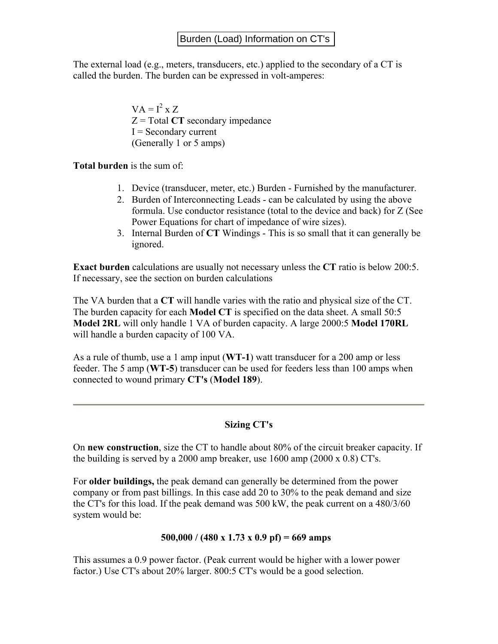The external load (e.g., meters, transducers, etc.) applied to the secondary of a CT is called the burden. The burden can be expressed in volt-amperes:

> $VA = I^2 \times Z$  $Z = \text{Total CT secondary impedance}$  $I =$  Secondary current (Generally 1 or 5 amps)

**Total burden** is the sum of:

- 1. Device (transducer, meter, etc.) Burden Furnished by the manufacturer.
- 2. Burden of Interconnecting Leads can be calculated by using the above formula. Use conductor resistance (total to the device and back) for Z (See Power Equations for chart of impedance of wire sizes).
- 3. Internal Burden of **CT** Windings This is so small that it can generally be ignored.

**Exact burden** calculations are usually not necessary unless the **CT** ratio is below 200:5. If necessary, see the section on burden calculations

The VA burden that a **CT** will handle varies with the ratio and physical size of the CT. The burden capacity for each **Model CT** is specified on the data sheet. A small 50:5 **Model 2RL** will only handle 1 VA of burden capacity. A large 2000:5 **Model 170RL** will handle a burden capacity of 100 VA.

As a rule of thumb, use a 1 amp input (**WT-1**) watt transducer for a 200 amp or less feeder. The 5 amp (**WT-5**) transducer can be used for feeders less than 100 amps when connected to wound primary **CT's** (**Model 189**).

## **Sizing CT's**

On **new construction**, size the CT to handle about 80% of the circuit breaker capacity. If the building is served by a 2000 amp breaker, use  $1600$  amp  $(2000 \times 0.8)$  CT's.

For **older buildings,** the peak demand can generally be determined from the power company or from past billings. In this case add 20 to 30% to the peak demand and size the CT's for this load. If the peak demand was 500 kW, the peak current on a 480/3/60 system would be:

## **500,000 / (480 x 1.73 x 0.9 pf) = 669 amps**

This assumes a 0.9 power factor. (Peak current would be higher with a lower power factor.) Use CT's about 20% larger. 800:5 CT's would be a good selection.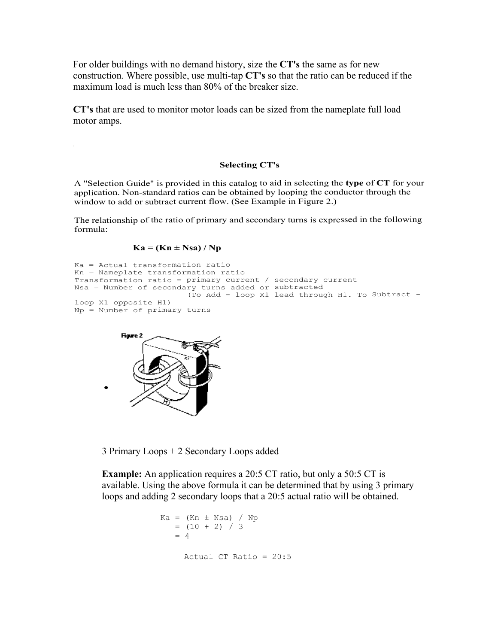For older buildings with no demand history, size the **CT's** the same as for new construction. Where possible, use multi-tap **CT's** so that the ratio can be reduced if the maximum load is much less than 80% of the breaker size.

**CT's** that are used to monitor motor loads can be sized from the nameplate full load motor amps.

#### **Selecting CT's**

A "Selection Guide" is provided in this catalog to aid in selecting the **type** of **CT** for your application. Non-standard ratios can be obtained by looping the conductor through the window to add or subtract current flow. (See Example in Figure 2.)

The relationship of the ratio of primary and secondary turns is expressed in the following formula:

#### $Ka = (Kn \pm Nsa) / Np$

```
Ka = Actual transformation ratio 
Kn = Nameplate transformation ratio 
Transformation ratio = primary current / secondary current 
Nsa = Number of secondary turns added or subtracted 
                         (To Add - loop X1 lead through H1. To Subtract - 
loop X1 opposite H1) 
Np = Number of primary turns
```


3 Primary Loops + 2 Secondary Loops added

**Example:** An application requires a 20:5 CT ratio, but only a 50:5 CT is available. Using the above formula it can be determined that by using 3 primary loops and adding 2 secondary loops that a 20:5 actual ratio will be obtained.

```
Ka = (Kn \pm Nsa) / Np= (10 + 2) / 3
   = 4 Actual CT Ratio = 20:5
```